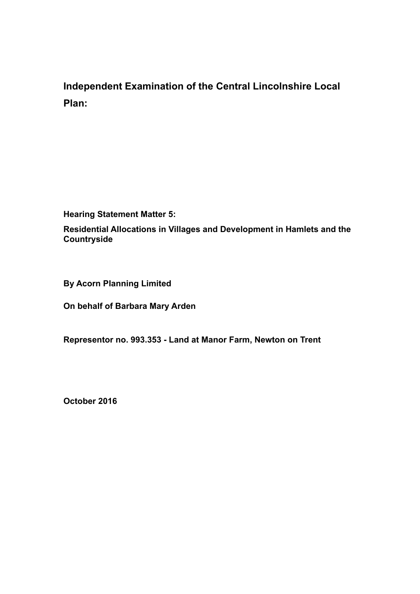# **Independent Examination of the Central Lincolnshire Local Plan:**

**Hearing Statement Matter 5:**

**Residential Allocations in Villages and Development in Hamlets and the Countryside**

**By Acorn Planning Limited**

**On behalf of Barbara Mary Arden**

**Representor no. 993.353 - Land at Manor Farm, Newton on Trent**

**October 2016**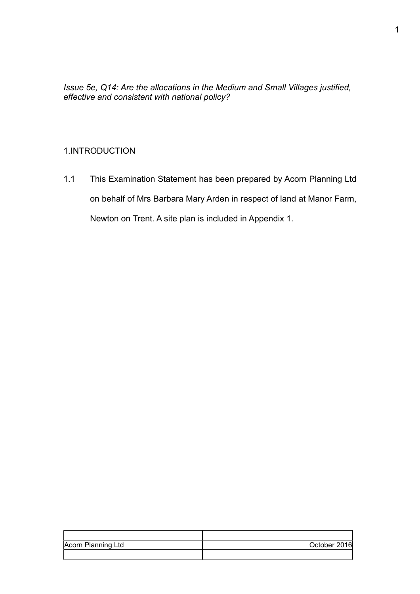*Issue 5e, Q14: Are the allocations in the Medium and Small Villages justified, effective and consistent with national policy?* 

### 1.INTRODUCTION

1.1 This Examination Statement has been prepared by Acorn Planning Ltd on behalf of Mrs Barbara Mary Arden in respect of land at Manor Farm, Newton on Trent. A site plan is included in Appendix 1.

| Acorn Planning Ltd | October 2016 |
|--------------------|--------------|
|                    |              |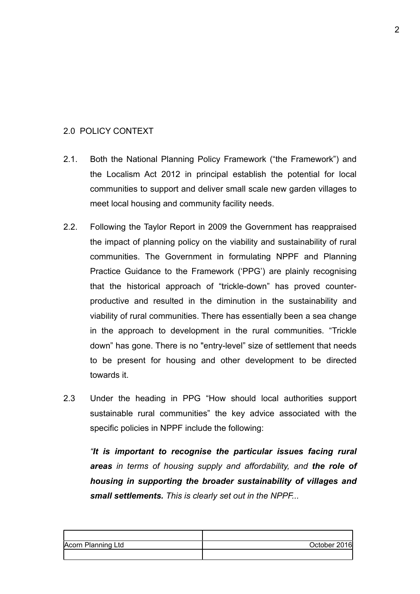#### 2.0 POLICY CONTEXT

- 2.1.Both the National Planning Policy Framework ("the Framework") and the Localism Act 2012 in principal establish the potential for local communities to support and deliver small scale new garden villages to meet local housing and community facility needs.
- 2.2. Following the Taylor Report in 2009 the Government has reappraised the impact of planning policy on the viability and sustainability of rural communities. The Government in formulating NPPF and Planning Practice Guidance to the Framework ('PPG') are plainly recognising that the historical approach of "trickle-down" has proved counterproductive and resulted in the diminution in the sustainability and viability of rural communities. There has essentially been a sea change in the approach to development in the rural communities. "Trickle down" has gone. There is no "entry-level" size of settlement that needs to be present for housing and other development to be directed towards it.
- 2.3 Under the heading in PPG "How should local authorities support sustainable rural communities" the key advice associated with the specific policies in NPPF include the following:

*"It is important to recognise the particular issues facing rural areas in terms of housing supply and affordability, and the role of housing in supporting the broader sustainability of villages and small settlements. This is clearly set out in the NPPF...* 

| Acorn Planning Ltd | October 2016l |
|--------------------|---------------|
|                    |               |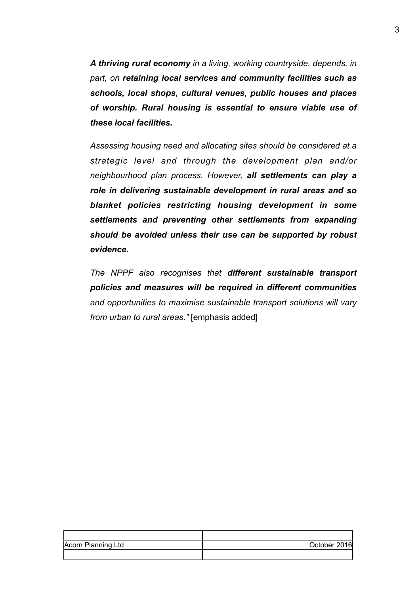*A thriving rural economy in a living, working countryside, depends, in part, on retaining local services and community facilities such as schools, local shops, cultural venues, public houses and places of worship. Rural housing is essential to ensure viable use of these local facilities.* 

*Assessing housing need and allocating sites should be considered at a strategic level and through the development plan and/or neighbourhood plan process. However, all settlements can play a role in delivering sustainable development in rural areas and so blanket policies restricting housing development in some settlements and preventing other settlements from expanding should be avoided unless their use can be supported by robust evidence.*

*The NPPF also recognises that different sustainable transport policies and measures will be required in different communities and opportunities to maximise sustainable transport solutions will vary from urban to rural areas."* [emphasis added]

| Acorn Planning Ltd | October 2016 |
|--------------------|--------------|
|                    |              |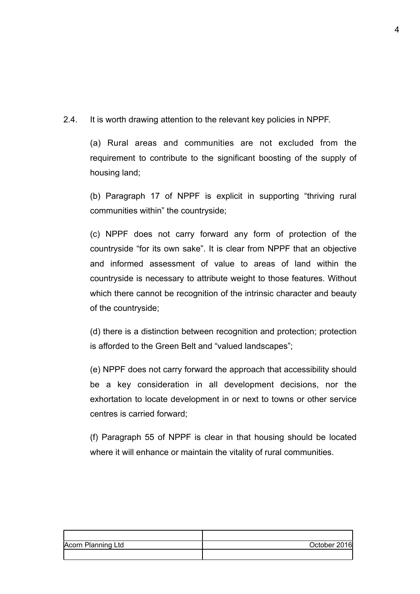2.4. It is worth drawing attention to the relevant key policies in NPPF.

 (a) Rural areas and communities are not excluded from the requirement to contribute to the significant boosting of the supply of housing land;

 (b) Paragraph 17 of NPPF is explicit in supporting "thriving rural communities within" the countryside;

 (c) NPPF does not carry forward any form of protection of the countryside "for its own sake". It is clear from NPPF that an objective and informed assessment of value to areas of land within the countryside is necessary to attribute weight to those features. Without which there cannot be recognition of the intrinsic character and beauty of the countryside;

 (d) there is a distinction between recognition and protection; protection is afforded to the Green Belt and "valued landscapes";

 (e) NPPF does not carry forward the approach that accessibility should be a key consideration in all development decisions, nor the exhortation to locate development in or next to towns or other service centres is carried forward;

 (f) Paragraph 55 of NPPF is clear in that housing should be located where it will enhance or maintain the vitality of rural communities.

| Acorn Planning Ltd | October 2016 |
|--------------------|--------------|
|                    |              |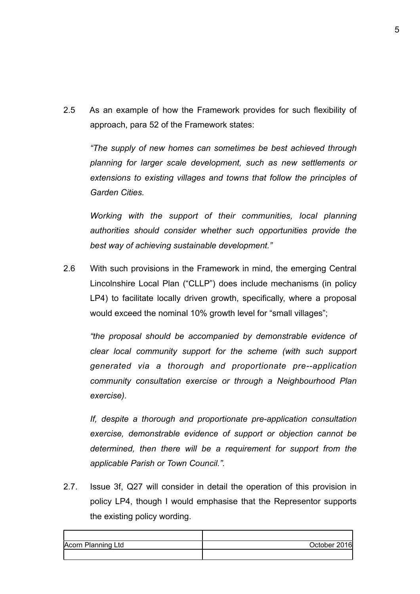2.5 As an example of how the Framework provides for such flexibility of approach, para 52 of the Framework states:

*"The supply of new homes can sometimes be best achieved through planning for larger scale development, such as new settlements or extensions to existing villages and towns that follow the principles of Garden Cities.*

 *Working with the support of their communities, local planning authorities should consider whether such opportunities provide the best way of achieving sustainable development."*

2.6 With such provisions in the Framework in mind, the emerging Central Lincolnshire Local Plan ("CLLP") does include mechanisms (in policy LP4) to facilitate locally driven growth, specifically, where a proposal would exceed the nominal 10% growth level for "small villages";

*"the proposal should be accompanied by demonstrable evidence of clear local community support for the scheme (with such support generated via a thorough and proportionate pre--application community consultation exercise or through a Neighbourhood Plan exercise).* 

 *If, despite a thorough and proportionate pre-application consultation exercise, demonstrable evidence of support or objection cannot be determined, then there will be a requirement for support from the applicable Parish or Town Council.".*

2.7. Issue 3f, Q27 will consider in detail the operation of this provision in policy LP4, though I would emphasise that the Representor supports the existing policy wording.

| Acorn Planning Ltd | October 2016 |
|--------------------|--------------|
|                    |              |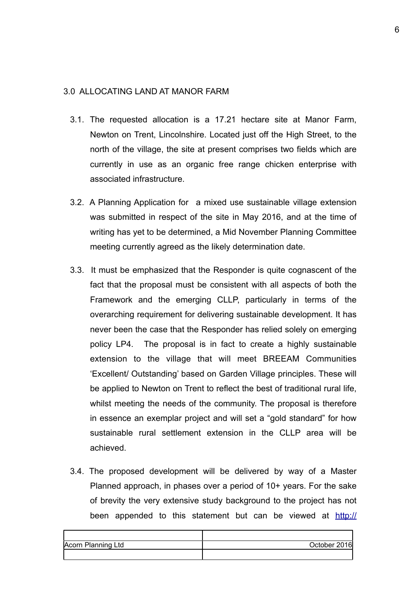#### 3.0 ALLOCATING LAND AT MANOR FARM

- 3.1. The requested allocation is a 17.21 hectare site at Manor Farm, Newton on Trent, Lincolnshire. Located just off the High Street, to the north of the village, the site at present comprises two fields which are currently in use as an organic free range chicken enterprise with associated infrastructure.
- 3.2. A Planning Application for a mixed use sustainable village extension was submitted in respect of the site in May 2016, and at the time of writing has yet to be determined, a Mid November Planning Committee meeting currently agreed as the likely determination date.
- 3.3. It must be emphasized that the Responder is quite cognascent of the fact that the proposal must be consistent with all aspects of both the Framework and the emerging CLLP, particularly in terms of the overarching requirement for delivering sustainable development. It has never been the case that the Responder has relied solely on emerging policy LP4. The proposal is in fact to create a highly sustainable extension to the village that will meet BREEAM Communities 'Excellent/ Outstanding' based on Garden Village principles. These will be applied to Newton on Trent to reflect the best of traditional rural life, whilst meeting the needs of the community. The proposal is therefore in essence an exemplar project and will set a "gold standard" for how sustainable rural settlement extension in the CLLP area will be achieved.
- 3.4. The proposed development will be delivered by way of a Master Planned approach, in phases over a period of 10+ years. For the sake of brevity the very extensive study background to the project has not been appended to this statement but can be viewed at [http://](http://docs.west-lindsey.gov.uk/WAM/showCaseFile.do?appName=planning&appNumber=134411)

| Acorn Planning Ltd | October 2016 |
|--------------------|--------------|
|                    |              |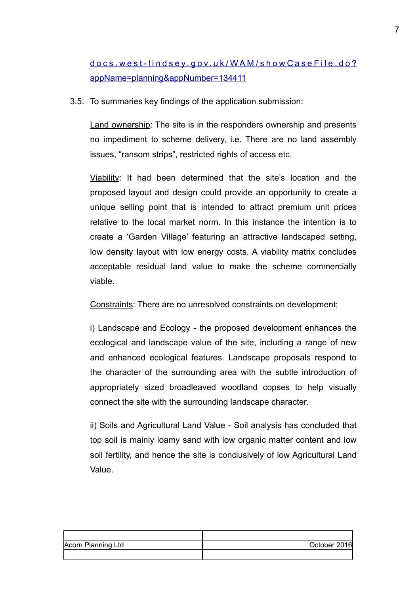## [docs.west-lindsey.gov.uk/WAM/showCaseFile.do?](http://docs.west-lindsey.gov.uk/WAM/showCaseFile.do?appName=planning&appNumber=134411) [appName=planning&appNumber=134411](http://docs.west-lindsey.gov.uk/WAM/showCaseFile.do?appName=planning&appNumber=134411)

3.5. To summaries key findings of the application submission:

Land ownership: The site is in the responders ownership and presents no impediment to scheme delivery, i.e. There are no land assembly issues, "ransom strips", restricted rights of access etc.

Viability: It had been determined that the site's location and the proposed layout and design could provide an opportunity to create a unique selling point that is intended to attract premium unit prices relative to the local market norm. In this instance the intention is to create a 'Garden Village' featuring an attractive landscaped setting, low density layout with low energy costs. A viability matrix concludes acceptable residual land value to make the scheme commercially viable.

Constraints: There are no unresolved constraints on development;

 i) Landscape and Ecology - the proposed development enhances the ecological and landscape value of the site, including a range of new and enhanced ecological features. Landscape proposals respond to the character of the surrounding area with the subtle introduction of appropriately sized broadleaved woodland copses to help visually connect the site with the surrounding landscape character.

 ii) Soils and Agricultural Land Value - Soil analysis has concluded that top soil is mainly loamy sand with low organic matter content and low soil fertility, and hence the site is conclusively of low Agricultural Land Value.

| Acorn Planning Ltd | October 2016 |
|--------------------|--------------|
|                    |              |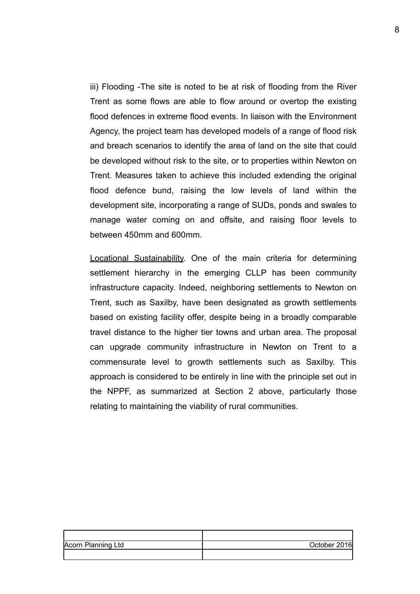iii) Flooding -The site is noted to be at risk of flooding from the River Trent as some flows are able to flow around or overtop the existing flood defences in extreme flood events. In liaison with the Environment Agency, the project team has developed models of a range of flood risk and breach scenarios to identify the area of land on the site that could be developed without risk to the site, or to properties within Newton on Trent. Measures taken to achieve this included extending the original flood defence bund, raising the low levels of land within the development site, incorporating a range of SUDs, ponds and swales to manage water coming on and offsite, and raising floor levels to between 450mm and 600mm.

Locational Sustainability. One of the main criteria for determining settlement hierarchy in the emerging CLLP has been community infrastructure capacity. Indeed, neighboring settlements to Newton on Trent, such as Saxilby, have been designated as growth settlements based on existing facility offer, despite being in a broadly comparable travel distance to the higher tier towns and urban area. The proposal can upgrade community infrastructure in Newton on Trent to a commensurate level to growth settlements such as Saxilby. This approach is considered to be entirely in line with the principle set out in the NPPF, as summarized at Section 2 above, particularly those relating to maintaining the viability of rural communities.

| Acorn Planning Ltd | October 2016 |
|--------------------|--------------|
|                    |              |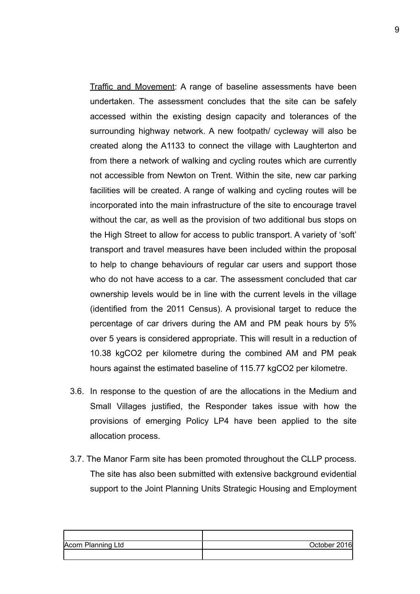Traffic and Movement: A range of baseline assessments have been undertaken. The assessment concludes that the site can be safely accessed within the existing design capacity and tolerances of the surrounding highway network. A new footpath/ cycleway will also be created along the A1133 to connect the village with Laughterton and from there a network of walking and cycling routes which are currently not accessible from Newton on Trent. Within the site, new car parking facilities will be created. A range of walking and cycling routes will be incorporated into the main infrastructure of the site to encourage travel without the car, as well as the provision of two additional bus stops on the High Street to allow for access to public transport. A variety of 'soft' transport and travel measures have been included within the proposal to help to change behaviours of regular car users and support those who do not have access to a car. The assessment concluded that car ownership levels would be in line with the current levels in the village (identified from the 2011 Census). A provisional target to reduce the percentage of car drivers during the AM and PM peak hours by 5% over 5 years is considered appropriate. This will result in a reduction of 10.38 kgCO2 per kilometre during the combined AM and PM peak hours against the estimated baseline of 115.77 kgCO2 per kilometre.

- 3.6. In response to the question of are the allocations in the Medium and Small Villages justified, the Responder takes issue with how the provisions of emerging Policy LP4 have been applied to the site allocation process.
- 3.7. The Manor Farm site has been promoted throughout the CLLP process. The site has also been submitted with extensive background evidential support to the Joint Planning Units Strategic Housing and Employment

| Acorn Planning Ltd | October 2016 |
|--------------------|--------------|
|                    |              |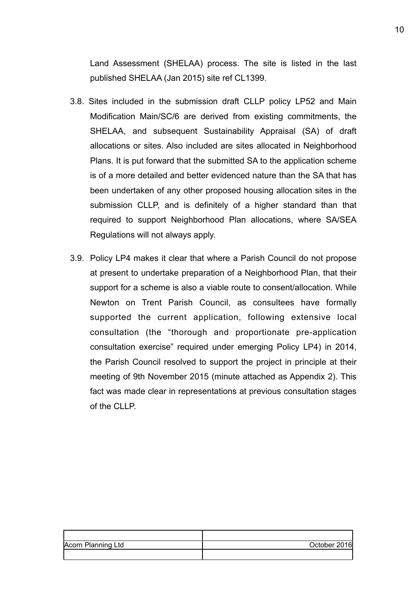Land Assessment (SHELAA) process. The site is listed in the last published SHELAA (Jan 2015) site ref CL1399.

- 3.8. Sites included in the submission draft CLLP policy LP52 and Main Modification Main/SC/6 are derived from existing commitments, the SHELAA, and subsequent Sustainability Appraisal (SA) of draft allocations or sites. Also included are sites allocated in Neighborhood Plans. It is put forward that the submitted SA to the application scheme is of a more detailed and better evidenced nature than the SA that has been undertaken of any other proposed housing allocation sites in the submission CLLP, and is definitely of a higher standard than that required to support Neighborhood Plan allocations, where SA/SEA Regulations will not always apply.
- 3.9. Policy LP4 makes it clear that where a Parish Council do not propose at present to undertake preparation of a Neighborhood Plan, that their support for a scheme is also a viable route to consent/allocation. While Newton on Trent Parish Council, as consultees have formally supported the current application, following extensive local consultation (the "thorough and proportionate pre-application consultation exercise" required under emerging Policy LP4) in 2014, the Parish Council resolved to support the project in principle at their meeting of 9th November 2015 (minute attached as Appendix 2). This fact was made clear in representations at previous consultation stages of the CLLP.

| Acorn Planning Ltd | October 2016 |
|--------------------|--------------|
|                    |              |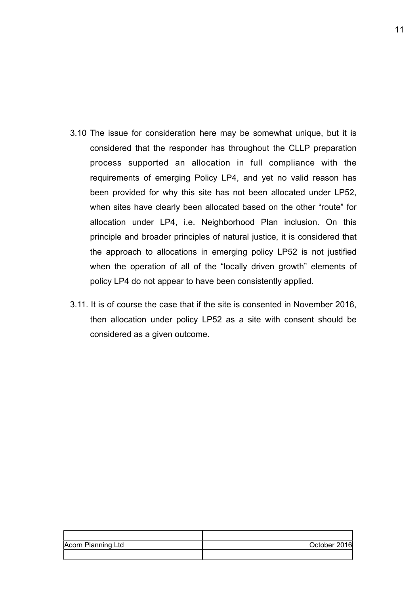- 3.10 The issue for consideration here may be somewhat unique, but it is considered that the responder has throughout the CLLP preparation process supported an allocation in full compliance with the requirements of emerging Policy LP4, and yet no valid reason has been provided for why this site has not been allocated under LP52, when sites have clearly been allocated based on the other "route" for allocation under LP4, i.e. Neighborhood Plan inclusion. On this principle and broader principles of natural justice, it is considered that the approach to allocations in emerging policy LP52 is not justified when the operation of all of the "locally driven growth" elements of policy LP4 do not appear to have been consistently applied.
- 3.11. It is of course the case that if the site is consented in November 2016, then allocation under policy LP52 as a site with consent should be considered as a given outcome.

| Acorn Planning Ltd | October 2016 |
|--------------------|--------------|
|                    |              |